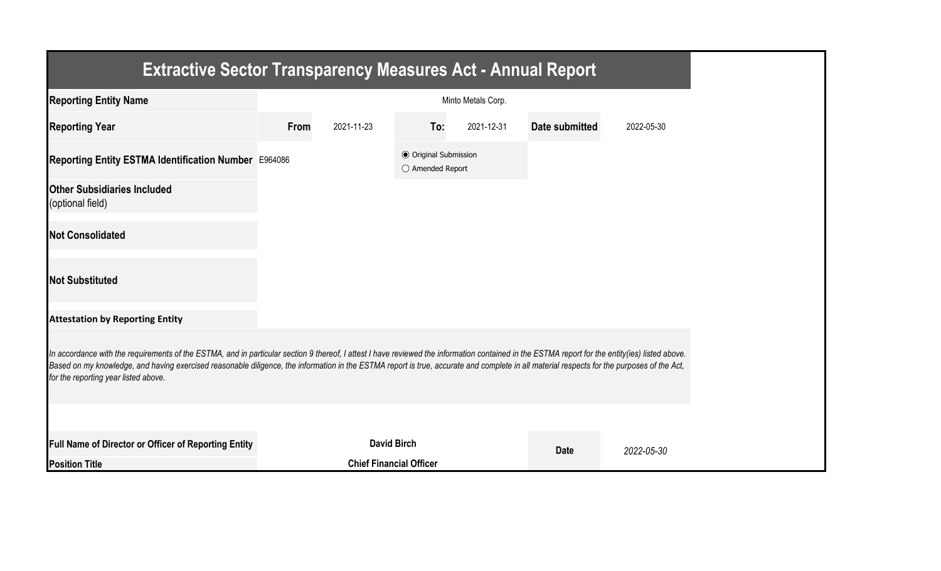| <b>Extractive Sector Transparency Measures Act - Annual Report</b>                                                                                                                                                                                                                                                                                                                                                                    |      |                                |                                                           |                    |                |            |
|---------------------------------------------------------------------------------------------------------------------------------------------------------------------------------------------------------------------------------------------------------------------------------------------------------------------------------------------------------------------------------------------------------------------------------------|------|--------------------------------|-----------------------------------------------------------|--------------------|----------------|------------|
| <b>Reporting Entity Name</b>                                                                                                                                                                                                                                                                                                                                                                                                          |      |                                |                                                           | Minto Metals Corp. |                |            |
| <b>Reporting Year</b>                                                                                                                                                                                                                                                                                                                                                                                                                 | From | 2021-11-23                     | To:                                                       | 2021-12-31         | Date submitted | 2022-05-30 |
| Reporting Entity ESTMA Identification Number E964086                                                                                                                                                                                                                                                                                                                                                                                  |      |                                | <b>● Original Submission</b><br>$\bigcirc$ Amended Report |                    |                |            |
| <b>Other Subsidiaries Included</b><br>(optional field)                                                                                                                                                                                                                                                                                                                                                                                |      |                                |                                                           |                    |                |            |
| <b>Not Consolidated</b>                                                                                                                                                                                                                                                                                                                                                                                                               |      |                                |                                                           |                    |                |            |
| <b>Not Substituted</b>                                                                                                                                                                                                                                                                                                                                                                                                                |      |                                |                                                           |                    |                |            |
| <b>Attestation by Reporting Entity</b>                                                                                                                                                                                                                                                                                                                                                                                                |      |                                |                                                           |                    |                |            |
| In accordance with the requirements of the ESTMA, and in particular section 9 thereof, I attest I have reviewed the information contained in the ESTMA report for the entity(ies) listed above.<br>Based on my knowledge, and having exercised reasonable diligence, the information in the ESTMA report is true, accurate and complete in all material respects for the purposes of the Act,<br>for the reporting year listed above. |      |                                |                                                           |                    |                |            |
|                                                                                                                                                                                                                                                                                                                                                                                                                                       |      |                                |                                                           |                    |                |            |
| Full Name of Director or Officer of Reporting Entity                                                                                                                                                                                                                                                                                                                                                                                  |      | <b>David Birch</b>             |                                                           |                    | <b>Date</b>    | 2022-05-30 |
| <b>Position Title</b>                                                                                                                                                                                                                                                                                                                                                                                                                 |      | <b>Chief Financial Officer</b> |                                                           |                    |                |            |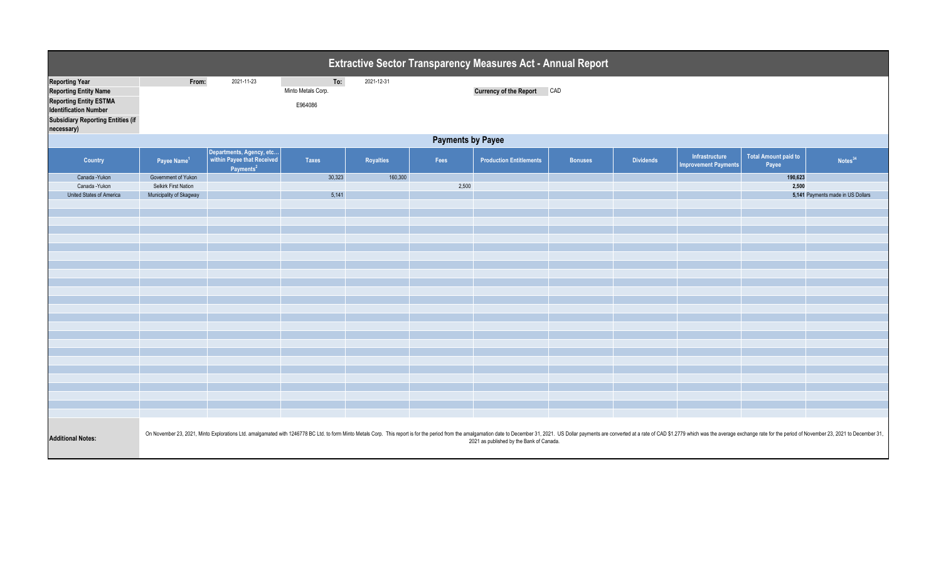| Extractive Sector Transparency Measures Act - Annual Report                                                                                                                      |                                                                                                                                                                                                                                                                            |                                                                                 |                                      |                  |       |                                   |                |                  |                                                      |                               |                                   |  |
|----------------------------------------------------------------------------------------------------------------------------------------------------------------------------------|----------------------------------------------------------------------------------------------------------------------------------------------------------------------------------------------------------------------------------------------------------------------------|---------------------------------------------------------------------------------|--------------------------------------|------------------|-------|-----------------------------------|----------------|------------------|------------------------------------------------------|-------------------------------|-----------------------------------|--|
| <b>Reporting Year</b><br><b>Reporting Entity Name</b><br><b>Reporting Entity ESTMA</b><br><b>Identification Number</b><br><b>Subsidiary Reporting Entities (if</b><br>necessary) | From:                                                                                                                                                                                                                                                                      | 2021-11-23                                                                      | To:<br>Minto Metals Corp.<br>E964086 | 2021-12-31       |       | <b>Currency of the Report CAD</b> |                |                  |                                                      |                               |                                   |  |
|                                                                                                                                                                                  | <b>Payments by Payee</b>                                                                                                                                                                                                                                                   |                                                                                 |                                      |                  |       |                                   |                |                  |                                                      |                               |                                   |  |
| Country                                                                                                                                                                          | Payee Name <sup>1</sup>                                                                                                                                                                                                                                                    | Departments, Agency, etc<br>within Payee that Received<br>Payments <sup>2</sup> | <b>Taxes</b>                         | <b>Royalties</b> | Fees  | <b>Production Entitlements</b>    | <b>Bonuses</b> | <b>Dividends</b> | <b>Infrastructure</b><br><b>Improvement Payments</b> | Total Amount paid to<br>Payee | Notes <sup>34</sup>               |  |
| Canada - Yukon                                                                                                                                                                   | Government of Yukon                                                                                                                                                                                                                                                        |                                                                                 | 30,323                               | 160,300          |       |                                   |                |                  |                                                      | 190,623                       |                                   |  |
| Canada - Yukon                                                                                                                                                                   | Selkirk First Nation                                                                                                                                                                                                                                                       |                                                                                 |                                      |                  | 2,500 |                                   |                |                  |                                                      | 2,500                         |                                   |  |
| United States of America                                                                                                                                                         | Municipality of Skagway                                                                                                                                                                                                                                                    |                                                                                 | 5,141                                |                  |       |                                   |                |                  |                                                      |                               | 5,141 Payments made in US Dollars |  |
|                                                                                                                                                                                  |                                                                                                                                                                                                                                                                            |                                                                                 |                                      |                  |       |                                   |                |                  |                                                      |                               |                                   |  |
|                                                                                                                                                                                  |                                                                                                                                                                                                                                                                            |                                                                                 |                                      |                  |       |                                   |                |                  |                                                      |                               |                                   |  |
|                                                                                                                                                                                  |                                                                                                                                                                                                                                                                            |                                                                                 |                                      |                  |       |                                   |                |                  |                                                      |                               |                                   |  |
|                                                                                                                                                                                  |                                                                                                                                                                                                                                                                            |                                                                                 |                                      |                  |       |                                   |                |                  |                                                      |                               |                                   |  |
|                                                                                                                                                                                  |                                                                                                                                                                                                                                                                            |                                                                                 |                                      |                  |       |                                   |                |                  |                                                      |                               |                                   |  |
|                                                                                                                                                                                  |                                                                                                                                                                                                                                                                            |                                                                                 |                                      |                  |       |                                   |                |                  |                                                      |                               |                                   |  |
|                                                                                                                                                                                  |                                                                                                                                                                                                                                                                            |                                                                                 |                                      |                  |       |                                   |                |                  |                                                      |                               |                                   |  |
|                                                                                                                                                                                  |                                                                                                                                                                                                                                                                            |                                                                                 |                                      |                  |       |                                   |                |                  |                                                      |                               |                                   |  |
|                                                                                                                                                                                  |                                                                                                                                                                                                                                                                            |                                                                                 |                                      |                  |       |                                   |                |                  |                                                      |                               |                                   |  |
|                                                                                                                                                                                  |                                                                                                                                                                                                                                                                            |                                                                                 |                                      |                  |       |                                   |                |                  |                                                      |                               |                                   |  |
|                                                                                                                                                                                  |                                                                                                                                                                                                                                                                            |                                                                                 |                                      |                  |       |                                   |                |                  |                                                      |                               |                                   |  |
|                                                                                                                                                                                  |                                                                                                                                                                                                                                                                            |                                                                                 |                                      |                  |       |                                   |                |                  |                                                      |                               |                                   |  |
|                                                                                                                                                                                  |                                                                                                                                                                                                                                                                            |                                                                                 |                                      |                  |       |                                   |                |                  |                                                      |                               |                                   |  |
|                                                                                                                                                                                  |                                                                                                                                                                                                                                                                            |                                                                                 |                                      |                  |       |                                   |                |                  |                                                      |                               |                                   |  |
|                                                                                                                                                                                  |                                                                                                                                                                                                                                                                            |                                                                                 |                                      |                  |       |                                   |                |                  |                                                      |                               |                                   |  |
|                                                                                                                                                                                  |                                                                                                                                                                                                                                                                            |                                                                                 |                                      |                  |       |                                   |                |                  |                                                      |                               |                                   |  |
|                                                                                                                                                                                  |                                                                                                                                                                                                                                                                            |                                                                                 |                                      |                  |       |                                   |                |                  |                                                      |                               |                                   |  |
|                                                                                                                                                                                  |                                                                                                                                                                                                                                                                            |                                                                                 |                                      |                  |       |                                   |                |                  |                                                      |                               |                                   |  |
|                                                                                                                                                                                  |                                                                                                                                                                                                                                                                            |                                                                                 |                                      |                  |       |                                   |                |                  |                                                      |                               |                                   |  |
|                                                                                                                                                                                  |                                                                                                                                                                                                                                                                            |                                                                                 |                                      |                  |       |                                   |                |                  |                                                      |                               |                                   |  |
|                                                                                                                                                                                  |                                                                                                                                                                                                                                                                            |                                                                                 |                                      |                  |       |                                   |                |                  |                                                      |                               |                                   |  |
|                                                                                                                                                                                  |                                                                                                                                                                                                                                                                            |                                                                                 |                                      |                  |       |                                   |                |                  |                                                      |                               |                                   |  |
| <b>Additional Notes:</b>                                                                                                                                                         | On November 23, 2021, Minto Explorations Ltd. amalgamated with 1246778 BC Ltd. to form Minto Metals Corp. This report is for the period from the amalgamation date to December 31, 2021. US Dollar payments are converted at a<br>2021 as published by the Bank of Canada. |                                                                                 |                                      |                  |       |                                   |                |                  |                                                      |                               |                                   |  |